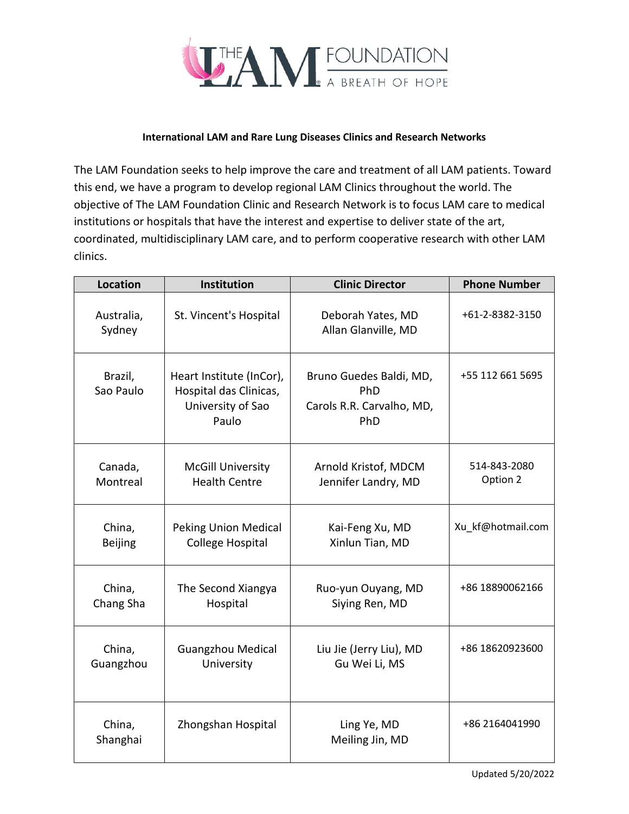

## **International LAM and Rare Lung Diseases Clinics and Research Networks**

The LAM Foundation seeks to help improve the care and treatment of all LAM patients. Toward this end, we have a program to develop regional LAM Clinics throughout the world. The objective of The LAM Foundation Clinic and Research Network is to focus LAM care to medical institutions or hospitals that have the interest and expertise to deliver state of the art, coordinated, multidisciplinary LAM care, and to perform cooperative research with other LAM clinics.

| <b>Location</b>      | Institution                                                                      | <b>Clinic Director</b>                                             | <b>Phone Number</b> |
|----------------------|----------------------------------------------------------------------------------|--------------------------------------------------------------------|---------------------|
| Australia,<br>Sydney | St. Vincent's Hospital                                                           | Deborah Yates, MD<br>Allan Glanville, MD                           | +61-2-8382-3150     |
| Brazil,<br>Sao Paulo | Heart Institute (InCor),<br>Hospital das Clinicas,<br>University of Sao<br>Paulo | Bruno Guedes Baldi, MD,<br>PhD<br>Carols R.R. Carvalho, MD,<br>PhD | +55 112 661 5695    |
| Canada,              | <b>McGill University</b>                                                         | Arnold Kristof, MDCM                                               | 514-843-2080        |
| Montreal             | <b>Health Centre</b>                                                             | Jennifer Landry, MD                                                | Option 2            |
| China,               | <b>Peking Union Medical</b>                                                      | Kai-Feng Xu, MD                                                    | Xu_kf@hotmail.com   |
| <b>Beijing</b>       | <b>College Hospital</b>                                                          | Xinlun Tian, MD                                                    |                     |
| China,               | The Second Xiangya                                                               | Ruo-yun Ouyang, MD                                                 | +86 18890062166     |
| Chang Sha            | Hospital                                                                         | Siying Ren, MD                                                     |                     |
| China,               | <b>Guangzhou Medical</b>                                                         | Liu Jie (Jerry Liu), MD                                            | +86 18620923600     |
| Guangzhou            | University                                                                       | Gu Wei Li, MS                                                      |                     |
| China,<br>Shanghai   | Zhongshan Hospital                                                               | Ling Ye, MD<br>Meiling Jin, MD                                     | +86 2164041990      |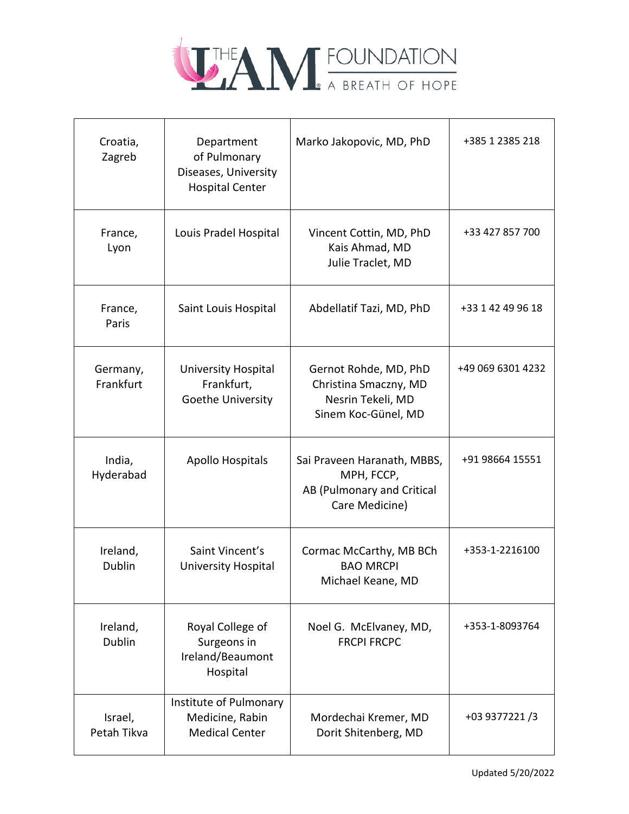

| Croatia,<br>Zagreb        | Department<br>of Pulmonary<br>Diseases, University<br><b>Hospital Center</b> | Marko Jakopovic, MD, PhD                                                                   | +385 1 2385 218   |
|---------------------------|------------------------------------------------------------------------------|--------------------------------------------------------------------------------------------|-------------------|
| France,<br>Lyon           | Louis Pradel Hospital                                                        | Vincent Cottin, MD, PhD<br>Kais Ahmad, MD<br>Julie Traclet, MD                             | +33 427 857 700   |
| France,<br>Paris          | Saint Louis Hospital                                                         | Abdellatif Tazi, MD, PhD                                                                   | +33 1 42 49 96 18 |
| Germany,<br>Frankfurt     | University Hospital<br>Frankfurt,<br>Goethe University                       | Gernot Rohde, MD, PhD<br>Christina Smaczny, MD<br>Nesrin Tekeli, MD<br>Sinem Koc-Günel, MD | +49 069 6301 4232 |
| India,<br>Hyderabad       | <b>Apollo Hospitals</b>                                                      | Sai Praveen Haranath, MBBS,<br>MPH, FCCP,<br>AB (Pulmonary and Critical<br>Care Medicine)  | +91 98664 15551   |
| Ireland,<br><b>Dublin</b> | Saint Vincent's<br>University Hospital                                       | Cormac McCarthy, MB BCh<br><b>BAO MRCPI</b><br>Michael Keane, MD                           | +353-1-2216100    |
| Ireland,<br>Dublin        | Royal College of<br>Surgeons in<br>Ireland/Beaumont<br>Hospital              | Noel G. McElvaney, MD,<br><b>FRCPI FRCPC</b>                                               | +353-1-8093764    |
| Israel,<br>Petah Tikva    | Institute of Pulmonary<br>Medicine, Rabin<br><b>Medical Center</b>           | Mordechai Kremer, MD<br>Dorit Shitenberg, MD                                               | +03 9377221/3     |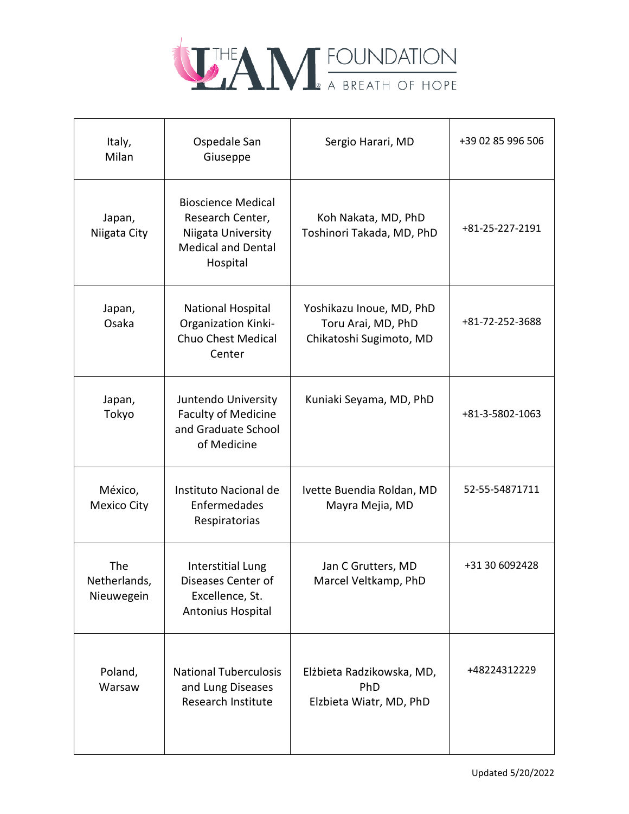

| Italy,<br>Milan                   | Ospedale San<br>Giuseppe                                                                                     | Sergio Harari, MD                                                         | +39 02 85 996 506 |
|-----------------------------------|--------------------------------------------------------------------------------------------------------------|---------------------------------------------------------------------------|-------------------|
| Japan,<br>Niigata City            | <b>Bioscience Medical</b><br>Research Center,<br>Niigata University<br><b>Medical and Dental</b><br>Hospital | Koh Nakata, MD, PhD<br>Toshinori Takada, MD, PhD                          | +81-25-227-2191   |
| Japan,<br>Osaka                   | National Hospital<br><b>Organization Kinki-</b><br>Chuo Chest Medical<br>Center                              | Yoshikazu Inoue, MD, PhD<br>Toru Arai, MD, PhD<br>Chikatoshi Sugimoto, MD | +81-72-252-3688   |
| Japan,<br>Tokyo                   | Juntendo University<br><b>Faculty of Medicine</b><br>and Graduate School<br>of Medicine                      | Kuniaki Seyama, MD, PhD                                                   | +81-3-5802-1063   |
| México,<br>Mexico City            | Instituto Nacional de<br>Enfermedades<br>Respiratorias                                                       | Ivette Buendia Roldan, MD<br>Mayra Mejia, MD                              | 52-55-54871711    |
| The<br>Netherlands,<br>Nieuwegein | <b>Interstitial Lung</b><br>Diseases Center of<br>Excellence, St.<br>Antonius Hospital                       | Jan C Grutters, MD<br>Marcel Veltkamp, PhD                                | +31 30 6092428    |
| Poland,<br>Warsaw                 | <b>National Tuberculosis</b><br>and Lung Diseases<br>Research Institute                                      | Elżbieta Radzikowska, MD,<br>PhD<br>Elzbieta Wiatr, MD, PhD               | +48224312229      |